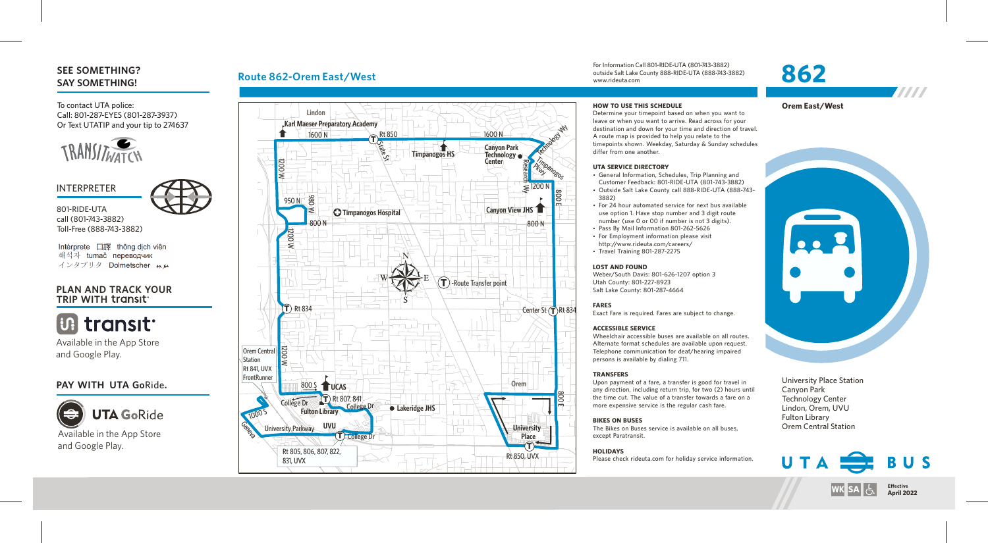# **SEE SOMETHING? SAY SOMETHING!**

To contact UTA police: Call: 801-287-EYES (801-287-3937) Or Text UTATIP and your tip to 274637



# INTERPRETER



801-RIDE-UTA call (801-743-3882) Toll-Free (888-743-3882)

Intérprete 口譯 thông dich viên 해석자 tumač переводчик インタプリタ Dolmetscher وبعد

# **PLAN AND TRACK YOUR TRIP WITH**



Available in the App Store and Google Play.

# **PAY WITH UTA Go**Ride**.**



# **Route 862-Orem East/West**



For Information Call 801-RIDE-UTA (801-743-3882) outside Salt Lake County 888-RIDE-UTA (888-743-3882) www.rideuta.com

# **862**



#### **HOW TO USE THIS SCHEDULE**

Determine your timepoint based on when you want to leave or when you want to arrive. Read across for your destination and down for your time and direction of travel. A route map is provided to help you relate to the timepoints shown. Weekday, Saturday & Sunday schedules differ from one another.

#### **UTA SERVICE DIRECTORY**

- General Information, Schedules, Trip Planning and Customer Feedback: 801-RIDE-UTA (801-743-3882)
- Outside Salt Lake County call 888-RIDE-UTA (888-743-3882)
- For 24 hour automated service for next bus available use option 1. Have stop number and 3 digit route number (use 0 or 00 if number is not 3 digits).
- Pass By Mail Information 801-262-5626
- For Employment information please visit http://www.rideuta.com/careers/  $\cdot$  Travel Training 801-287-2275
- 

#### **LOST AND FOUND**

Weber/South Davis: 801-626-1207 option 3 Utah County: 801-227-8923 Salt Lake County: 801-287-4664

#### **FARES**

Exact Fare is required. Fares are subject to change.

#### **ACCESSIBLE SERVICE**

Wheelchair accessible buses are available on all routes. Alternate format schedules are available upon request. Telephone communication for deaf/hearing impaired persons is available by dialing 711.

#### **TRANSFERS**

Upon payment of a fare, a transfer is good for travel in any direction, including return trip, for two (2) hours until the time cut. The value of a transfer towards a fare on a more expensive service is the regular cash fare.

#### **BIKES ON BUSES**

The Bikes on Buses service is available on all buses, except Paratransit.

#### **HOLIDAYS**

Please check rideuta.com for holiday service information.



University Place Station Canyon Park Technology Center Lindon, Orem, UVU Fulton Library Orem Central Station